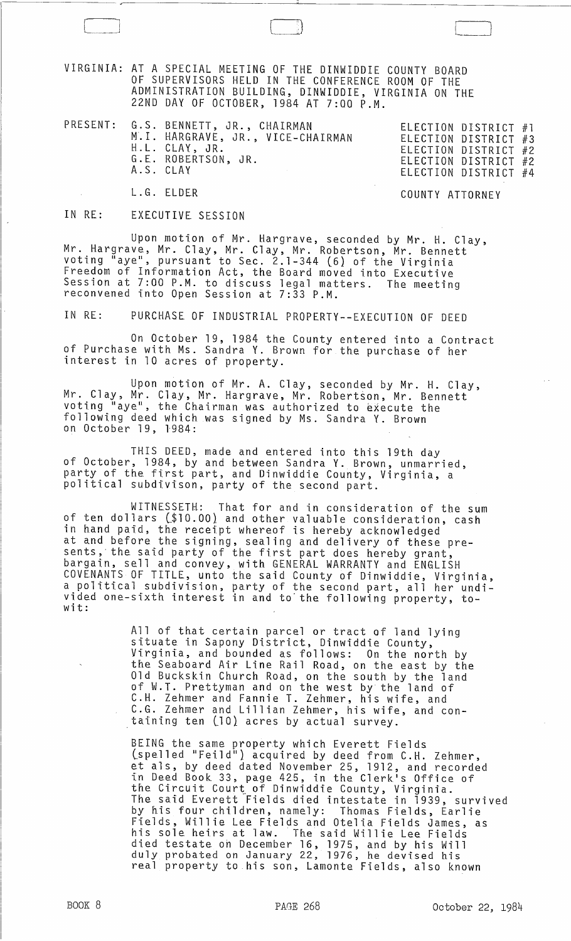VIRGINIA: AT A SPECIAL MEETING OF THE DINWIDDIE COUNTY BOARD OF SUPERVISORS HELD IN THE CONFERENCE ROOM OF THE ADMINISTRATION BUILDING, DINWIDDIE, VIRGINIA ON THE 22ND DAY OF OCTOBER, 1984 AT 7:00 P.M.

PRESENT: G.S. BENNETT, JR., CHAIRMAN ELECTION DISTRICT #1 M.I. HARGRAVE, JR., VICE-CHAIRMAN H.L. CLAY, JR. G.E. ROBERTSON, JR. A.S. CLAY

| ELECTION DISTRICT #1 |  |
|----------------------|--|
| ELECTION DISTRICT #3 |  |
| ELECTION DISTRICT #2 |  |
| ELECTION DISTRICT #2 |  |
| ELECTION DISTRICT #4 |  |
|                      |  |

 $\begin{array}{|c|c|c|c|c|}\hline \quad \quad & \quad \quad & \quad \quad & \quad \quad \\ \hline \quad \quad & \quad \quad & \quad \quad & \quad \quad \\ \hline \quad \quad & \quad \quad & \quad \quad & \quad \quad \\ \hline \quad \quad & \quad \quad & \quad \quad & \quad \quad \\ \hline \quad \quad & \quad \quad & \quad \quad & \quad \quad \\ \hline \quad \quad & \quad \quad & \quad \quad & \quad \quad \\ \hline \quad \quad & \quad \quad & \quad \quad & \quad \quad \\ \hline \quad \quad & \quad \quad & \quad \quad & \quad \quad \\ \hline \quad \quad & \quad \quad & \quad \quad & \quad$ 

COUNTY ATTORNEY

## IN RE: EXECUTIVE SESSION

L.G. ELDER

Upon motion of Mr. Hargrave, seconded by Mr. H. Clay, Mr. Hargrave, Mr. Clay, Mr. Clay, Mr. Robertson, Mr. Bennett<br>voting "aye", pursuant to Sec. 2.1-344 (6) of the Virginia Freedom of Information Act, the Board *moved* into Executive Session at 7:00 P.M. to discuss legal matters. The meeting<br>reconvened into Open Session at 7:33 P.M.

IN RE: PURCHASE OF INDUSTRIAL PROPERTY--EXECUTION OF DEED

On October 19, 1984 the County entered into a Contract of Purchase with Ms. Sandra Y. Brown for the purchase of her interest in 10 acres of property.

Upon motion of Mr. A. Clay, seconded by Mr. H. Clay, Mr. Clay, Mr. Clay, Mr. Hargrave, Mr. Robertson, Mr. Bennett<br>voting "aye", the Chairman was authorized to execute the following deed which was signed by Ms. Sandra Y. Brown on October 19, 1984:

THIS DEED, made and entered into this 19th day of October, 1984, by and between Sandra Y. Brown, unmarried, party of the first part, and Dinwiddie County, Virginia, a political subdivison, party of the second part.

WITNESSETH: That for and in consideration of the sum of ten dollars C\$lO.OO} and other valuable consideration, cash in hand paid, the receipt whereof is hereby acknowledged at and before the signing, sealing and delivery of these presents, the said party of the first part does hereby grant, bargain, sell and *convey,* with GENERAL WARRANTY and ENGLISH COVENANTS OF TITLE, unto the said County of Dinwiddie, Virginia, a political subdivision, party of the second part, all her undi*vided* one-sixth interest in and to' the following property, towit:

> All of that certain parcel or tract of land lying situate in Sapony District, Dinwiddie County, Virginia, and bounded as follows: On the north by the Seaboard Air Line Rail Road, on the east by the Old Buckskin Churcb Road, on the south by the land of W.T. Prettyman and on the west by the land of C.H. lehmer and Fannie T. lehmer, his wife, and C.G. lehmer and Lillian lehmer, his wife, and containing ten (10) acres by actual survey.

BEING the same property which Everett Fields sind the same property which Everect Fields<br>(spelled "Feild") acquired by deed from C.H. Zehmer, et als, by deed dated November 25, 1912, and recorded in Deed B60k 33, page 425, in the Clerk's Office of the Circuit Court of Dinwiddie County, Virginia. The. said Everett "Fields died intestate in 1939, *survived*  by his four children, namely: Thomas Fields, Earlie Fields, Willie Lee Fields and Otelia Fields James, as his sole heirs at law. The said Willie Lee Fields died testate oh December 16, 1975, and by his Will duly probated on January 22, 1976, he devised his real property to his son, Lamonte Fields, also known